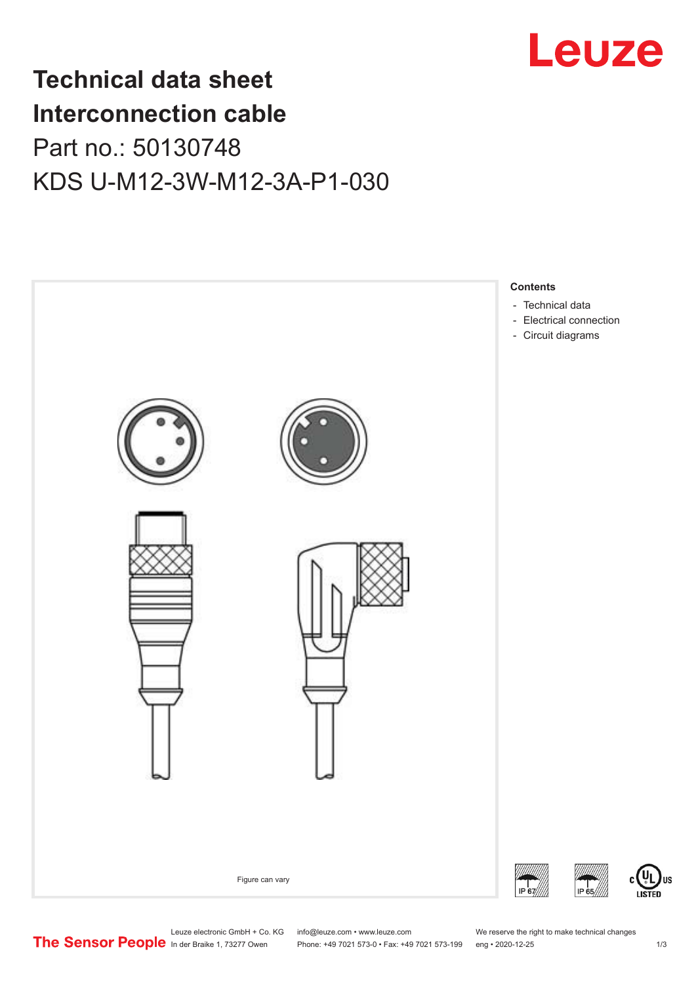

## **Technical data sheet Interconnection cable** Part no.: 50130748 KDS U-M12-3W-M12-3A-P1-030



Leuze electronic GmbH + Co. KG info@leuze.com • www.leuze.com We reserve the right to make technical changes<br>
The Sensor People in der Braike 1, 73277 Owen Phone: +49 7021 573-0 • Fax: +49 7021 573-199 eng • 2020-12-25

Phone: +49 7021 573-0 • Fax: +49 7021 573-199 eng • 2020-12-25 1 2020-12-25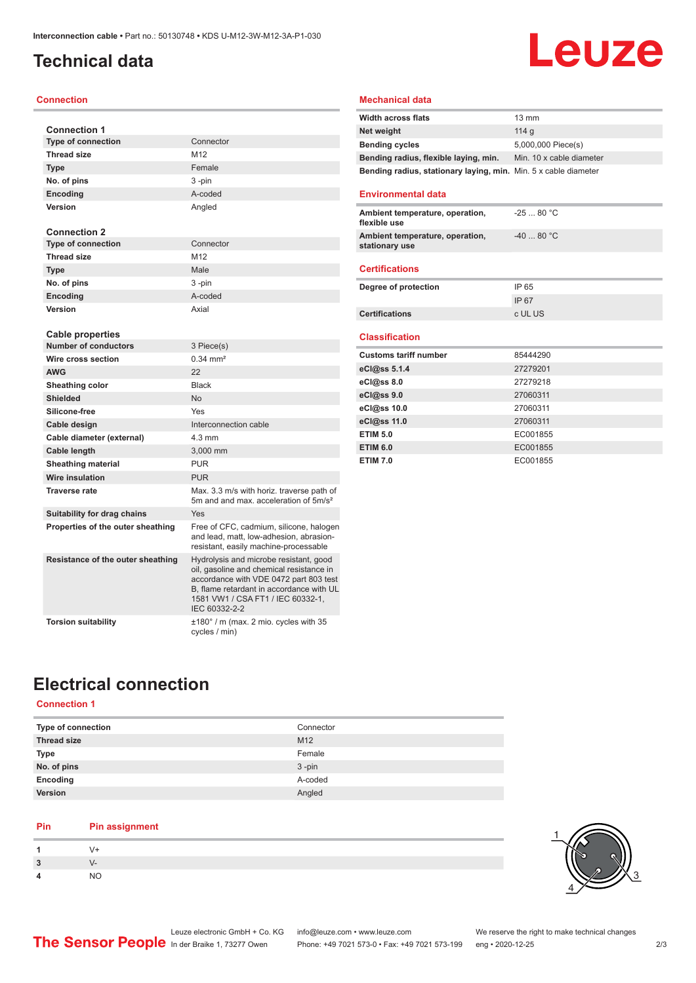## <span id="page-1-0"></span>**Technical data**

#### **Connection**

| <b>Connection 1</b>               |                                                                                                                                                                                                                                |
|-----------------------------------|--------------------------------------------------------------------------------------------------------------------------------------------------------------------------------------------------------------------------------|
| <b>Type of connection</b>         | Connector                                                                                                                                                                                                                      |
| <b>Thread size</b>                | M12                                                                                                                                                                                                                            |
| <b>Type</b>                       | Female                                                                                                                                                                                                                         |
| No. of pins                       | 3-pin                                                                                                                                                                                                                          |
| Encoding                          | A-coded                                                                                                                                                                                                                        |
| Version                           | Angled                                                                                                                                                                                                                         |
| <b>Connection 2</b>               |                                                                                                                                                                                                                                |
| <b>Type of connection</b>         | Connector                                                                                                                                                                                                                      |
| <b>Thread size</b>                | M <sub>12</sub>                                                                                                                                                                                                                |
| <b>Type</b>                       | Male                                                                                                                                                                                                                           |
| No. of pins                       | 3-pin                                                                                                                                                                                                                          |
| Encoding                          | A-coded                                                                                                                                                                                                                        |
| Version                           | Axial                                                                                                                                                                                                                          |
| Cable properties                  |                                                                                                                                                                                                                                |
| <b>Number of conductors</b>       | 3 Piece(s)                                                                                                                                                                                                                     |
| Wire cross section                | $0.34 \, \text{mm}^2$                                                                                                                                                                                                          |
| <b>AWG</b>                        | 22                                                                                                                                                                                                                             |
| Sheathing color                   | <b>Black</b>                                                                                                                                                                                                                   |
| <b>Shielded</b>                   | <b>No</b>                                                                                                                                                                                                                      |
| Silicone-free                     | Yes                                                                                                                                                                                                                            |
| Cable design                      | Interconnection cable                                                                                                                                                                                                          |
| Cable diameter (external)         | $4.3 \text{ mm}$                                                                                                                                                                                                               |
| Cable length                      | 3,000 mm                                                                                                                                                                                                                       |
| <b>Sheathing material</b>         | <b>PUR</b>                                                                                                                                                                                                                     |
| Wire insulation                   | <b>PUR</b>                                                                                                                                                                                                                     |
| <b>Traverse rate</b>              | Max. 3.3 m/s with horiz. traverse path of<br>5m and and max, acceleration of 5m/s <sup>2</sup>                                                                                                                                 |
| Suitability for drag chains       | Yes                                                                                                                                                                                                                            |
| Properties of the outer sheathing | Free of CFC, cadmium, silicone, halogen<br>and lead, matt, low-adhesion, abrasion-<br>resistant, easily machine-processable                                                                                                    |
| Resistance of the outer sheathing | Hydrolysis and microbe resistant, good<br>oil, gasoline and chemical resistance in<br>accordance with VDE 0472 part 803 test<br>B, flame retardant in accordance with UL<br>1581 VW1 / CSA FT1 / IEC 60332-1,<br>IEC 60332-2-2 |
| <b>Torsion suitability</b>        | ±180° / m (max. 2 mio. cycles with 35<br>cycles / min)                                                                                                                                                                         |

#### **Mechanical data**

| <b>Width across flats</b>                                       | $13 \text{ mm}$          |
|-----------------------------------------------------------------|--------------------------|
| Net weight                                                      | 114 a                    |
| <b>Bending cycles</b>                                           | 5,000,000 Piece(s)       |
| Bending radius, flexible laying, min.                           | Min. 10 x cable diameter |
| Bending radius, stationary laying, min. Min. 5 x cable diameter |                          |

#### **Environmental data**

| Ambient temperature, operation,<br>flexible use   | $-2580 °C$ |
|---------------------------------------------------|------------|
| Ambient temperature, operation,<br>stationary use | $-4080 °C$ |

#### **Certifications**

| Degree of protection  | IP 65   |
|-----------------------|---------|
|                       | IP 67   |
| <b>Certifications</b> | c UL US |

#### **Classification**

| <b>Customs tariff number</b> | 85444290 |
|------------------------------|----------|
| eCl@ss 5.1.4                 | 27279201 |
| eCl@ss 8.0                   | 27279218 |
| eCl@ss 9.0                   | 27060311 |
| eCl@ss 10.0                  | 27060311 |
| eCl@ss 11.0                  | 27060311 |
| <b>ETIM 5.0</b>              | EC001855 |
| <b>ETIM 6.0</b>              | EC001855 |
| <b>ETIM 7.0</b>              | EC001855 |

## **Electrical connection**

#### **Connection 1**

| Type of connection | Connector |
|--------------------|-----------|
| <b>Thread size</b> | M12       |
| <b>Type</b>        | Female    |
| No. of pins        | $3 - pin$ |
| Encoding           | A-coded   |
| Version            | Angled    |

#### **Pin Pin assignment**

| 1              | $V +$     |
|----------------|-----------|
| $\overline{3}$ | $V -$     |
| 4              | <b>NO</b> |



Leuze